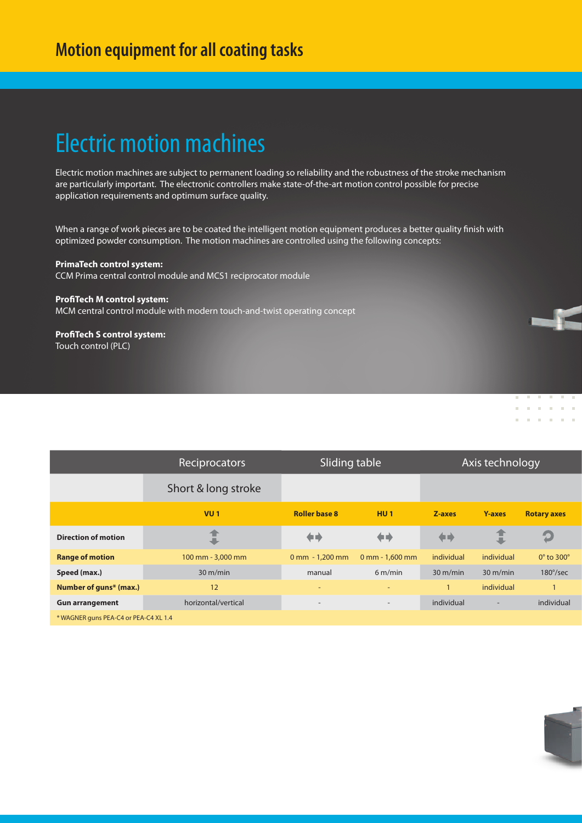### Electric motion machines

Electric motion machines are subject to permanent loading so reliability and the robustness of the stroke mechanism are particularly important. The electronic controllers make state-of-the-art motion control possible for precise application requirements and optimum surface quality.

When a range of work pieces are to be coated the intelligent motion equipment produces a better quality finish with optimized powder consumption. The motion machines are controlled using the following concepts:

#### **PrimaTech control system:**

CCM Prima central control module and MCS1 reciprocator module

#### **ProfiTech M control system:**

MCM central control module with modern touch-and-twist operating concept

**ProfiTech S control system:**  Touch control (PLC)

|                                       | Reciprocators       | Sliding table            |                          | Axis technology    |                          |                           |  |
|---------------------------------------|---------------------|--------------------------|--------------------------|--------------------|--------------------------|---------------------------|--|
|                                       | Short & long stroke |                          |                          |                    |                          |                           |  |
|                                       | $VU_1$              | <b>Roller base 8</b>     | HU <sub>1</sub>          | Z-axes             | <b>Y-axes</b>            | <b>Rotary axes</b>        |  |
| <b>Direction of motion</b>            |                     | a n                      | ◆■                       | ◆◆                 |                          |                           |  |
| <b>Range of motion</b>                | 100 mm - 3,000 mm   | $0$ mm $-1,200$ mm       | $0$ mm - 1,600 mm        | individual         | individual               | $0^\circ$ to 300 $^\circ$ |  |
| Speed (max.)                          | $30 \text{ m/min}$  | manual                   | $6 \text{ m/min}$        | $30 \text{ m/min}$ | $30 \text{ m/min}$       | $180^{\circ}/sec$         |  |
| Number of guns* (max.)                | 12                  | $\overline{\phantom{0}}$ | $\overline{\phantom{0}}$ | $\mathbf{1}$       | individual               |                           |  |
| <b>Gun arrangement</b>                | horizontal/vertical | $\overline{\phantom{a}}$ | $\sim$                   | individual         | $\overline{\phantom{a}}$ | individual                |  |
| * WAGNER guns PEA-C4 or PEA-C4 XL 1.4 |                     |                          |                          |                    |                          |                           |  |



 $\mathbf{R} = \mathbf{R} \mathbf{R}$ 

 $\mathbf{u} = \mathbf{u}$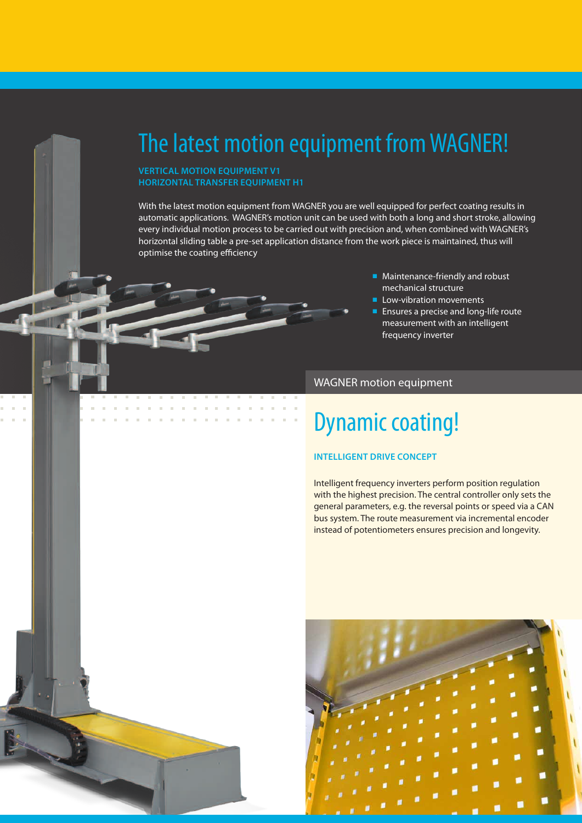### The latest motion equipment from WAGNER!

#### **VERTICAL MOTION EQUIPMENT V1 HORIZONTAL TRANSFER EQUIPMENT H1**

With the latest motion equipment from WAGNER you are well equipped for perfect coating results in automatic applications. WAGNER's motion unit can be used with both a long and short stroke, allowing every individual motion process to be carried out with precision and, when combined with WAGNER's horizontal sliding table a pre-set application distance from the work piece is maintained, thus will optimise the coating efficiency

- Maintenance-friendly and robust mechanical structure
- Low-vibration movements
- Ensures a precise and long-life route measurement with an intelligent frequency inverter

### WAGNER motion equipment

### Dynamic coating!

#### **INTELLIGENT DRIVE CONCEPT**

Intelligent frequency inverters perform position regulation with the highest precision. The central controller only sets the general parameters, e.g. the reversal points or speed via a CAN bus system. The route measurement via incremental encoder instead of potentiometers ensures precision and longevity.

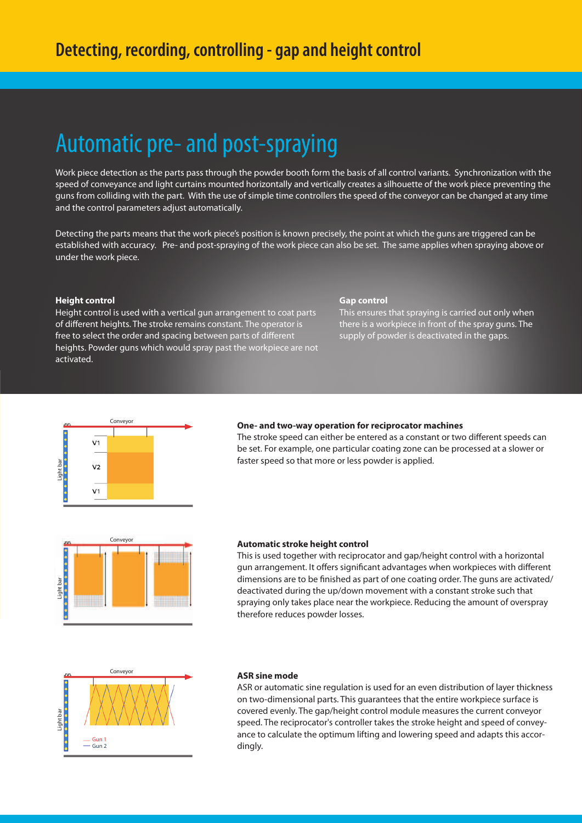### Automatic pre- and post-spraying

Work piece detection as the parts pass through the powder booth form the basis of all control variants. Synchronization with the speed of conveyance and light curtains mounted horizontally and vertically creates a silhouette of the work piece preventing the guns from colliding with the part. With the use of simple time controllers the speed of the conveyor can be changed at any time and the control parameters adjust automatically.

Detecting the parts means that the work piece's position is known precisely, the point at which the guns are triggered can be established with accuracy. Pre- and post-spraying of the work piece can also be set. The same applies when spraying above or under the work piece.

#### **Height control**

Height control is used with a vertical gun arrangement to coat parts of different heights. The stroke remains constant. The operator is free to select the order and spacing between parts of different heights. Powder guns which would spray past the workpiece are not activated.

#### **Gap control**

This ensures that spraying is carried out only when there is a workpiece in front of the spray guns. The supply of powder is deactivated in the gaps.



#### **One- and two-way operation for reciprocator machines**

The stroke speed can either be entered as a constant or two different speeds can be set. For example, one particular coating zone can be processed at a slower or faster speed so that more or less powder is applied.



#### **Automatic stroke height control**

This is used together with reciprocator and gap/height control with a horizontal gun arrangement. It offers significant advantages when workpieces with different dimensions are to be finished as part of one coating order. The guns are activated/ deactivated during the up/down movement with a constant stroke such that spraying only takes place near the workpiece. Reducing the amount of overspray therefore reduces powder losses.



#### **ASR sine mode**

ASR or automatic sine regulation is used for an even distribution of layer thickness on two-dimensional parts. This guarantees that the entire workpiece surface is covered evenly. The gap/height control module measures the current conveyor speed. The reciprocator's controller takes the stroke height and speed of conveyance to calculate the optimum lifting and lowering speed and adapts this accordingly.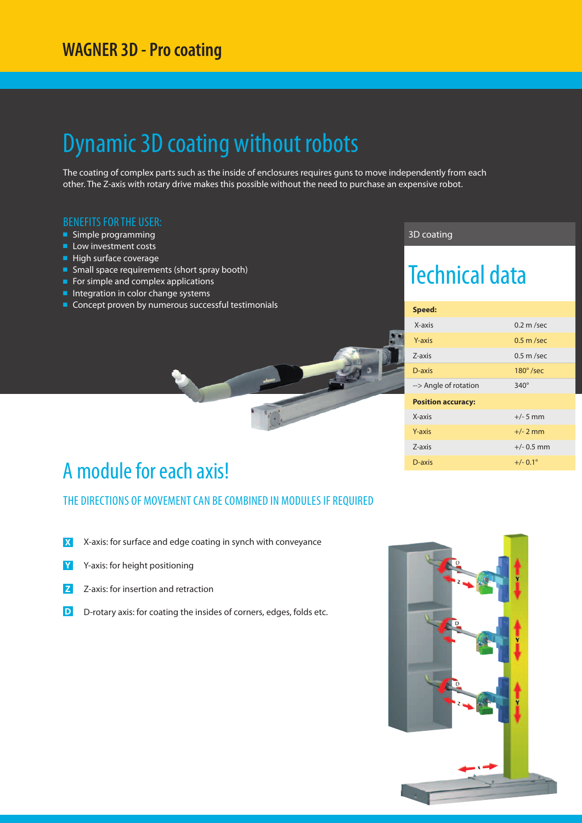### Dynamic 3D coating without robots

The coating of complex parts such as the inside of enclosures requires guns to move independently from each other. The Z-axis with rotary drive makes this possible without the need to purchase an expensive robot.

#### BENEFITS FOR THE USER:

- Simple programming
- Low investment costs
- High surface coverage
- Small space requirements (short spray booth)
- For simple and complex applications
- Integration in color change systems
- Concept proven by numerous successful testimonials

#### 3D coating

### Technical data

| Speed:                    |                     |  |  |  |
|---------------------------|---------------------|--|--|--|
| X-axis                    | $0.2 \text{ m/sec}$ |  |  |  |
| Y-axis                    | $0.5$ m /sec        |  |  |  |
| 7-axis                    | $0.5$ m /sec        |  |  |  |
| D-axis                    | $180^\circ$ /sec    |  |  |  |
| --> Angle of rotation     | $340^\circ$         |  |  |  |
| <b>Position accuracy:</b> |                     |  |  |  |
| X-axis                    | $+/- 5$ mm          |  |  |  |
| Y-axis                    | $+/- 2$ mm          |  |  |  |
| 7-axis                    | $+/- 0.5$ mm        |  |  |  |
| D-axis                    | $+/- 0.1^{\circ}$   |  |  |  |

### A module for each axis!

THE DIRECTIONS OF MOVEMENT CAN BE COMBINED IN MODULES IF REQUIRED

- **X** X-axis: for surface and edge coating in synch with conveyance
- **Y** Y-axis: for height positioning
- **Z** Z-axis: for insertion and retraction
- **D** D-rotary axis: for coating the insides of corners, edges, folds etc.

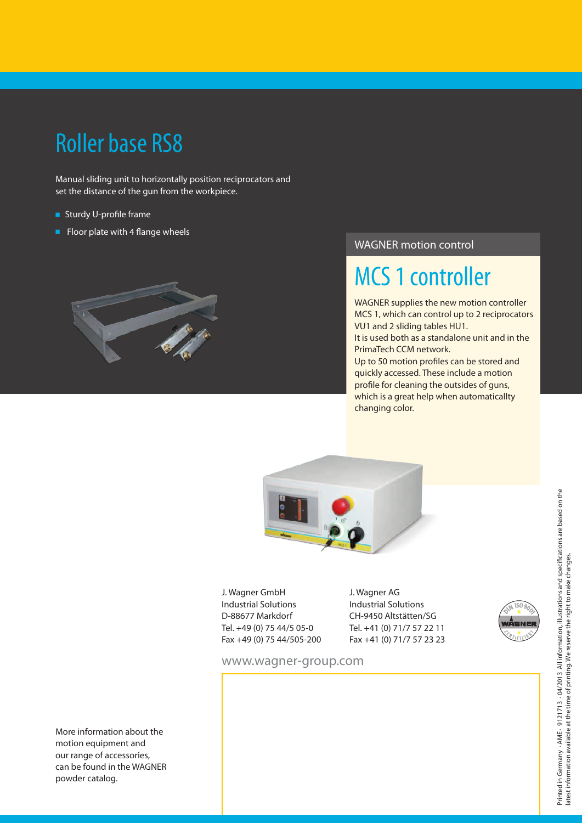## Roller base RS8

Manual sliding unit to horizontally position reciprocators and set the distance of the gun from the workpiece.

- Sturdy U-profile frame
- Floor plate with 4 flange wheels



### WAGNER motion control

## MCS 1 controller

WAGNER supplies the new motion controller MCS 1, which can control up to 2 reciprocators VU1 and 2 sliding tables HU1.

It is used both as a standalone unit and in the PrimaTech CCM network.

Up to 50 motion profiles can be stored and quickly accessed. These include a motion profile for cleaning the outsides of guns, which is a great help when automaticallty changing color.



J. Wagner GmbH Industrial Solutions D-88677 Markdorf Tel. +49 (0) 75 44/5 05-0 Fax +49 (0) 75 44/505-200 J. Wagner AG Industrial Solutions CH-9450 Altstätten/SG Tel. +41 (0) 71/7 57 22 11 Fax +41 (0) 71/7 57 23 23



www.wagner-group.com

More information about the motion equipment and our range of accessories, can be found in the WAGNER powder catalog.